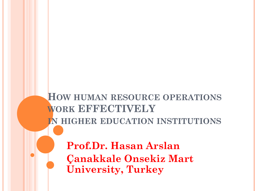### **HOW HUMAN RESOURCE OPERATIONS WORK EFFECTIVELY IN HIGHER EDUCATION INSTITUTIONS**

**Prof.Dr. Hasan Arslan Çanakkale Onsekiz Mart University, Turkey**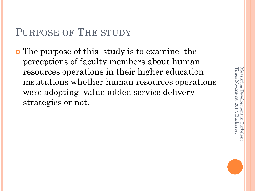### PURPOSE OF THE STUDY

 The purpose of this study is to examine the perceptions of faculty members about human resources operations in their higher education institutions whether human resources operations were adopting value-added service delivery strategies or not.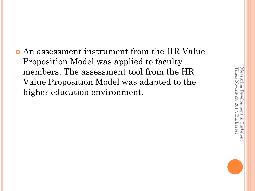An assessment instrument from the HR Value Proposition Model was applied to faculty members. The assessment tool from the HR Value Proposition Model was adapted to the higher education environment.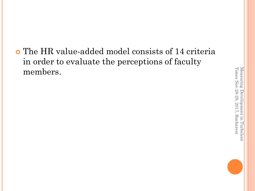The HR value-added model consists of 14 criteria in order to evaluate the perceptions of faculty members.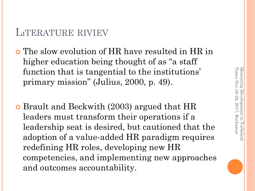#### L<sub>I</sub>TERATURE RIVI

 The slow evolution of HR have resulted in HR in higher education being thought of as "a staff function that is tangential to the institutions' primary mission" (Julius, 2000, p. 49).

**o** Brault and Beckwith (2003) argued that HR leaders must transform their operations if a leadership seat is desired, but cautioned that the adoption of a value-added HR paradigm requires redefining HR roles, developing new HR competencies, and implementing new approaches and outcomes accountability.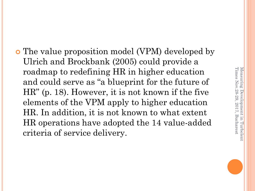The value proposition model (VPM) developed by Ulrich and Brockbank (2005) could provide a roadmap to redefining HR in higher education and could serve as "a blueprint for the future of HR" (p. 18). However, it is not known if the five elements of the VPM apply to higher education HR. In addition, it is not known to what extent HR operations have adopted the 14 value-added criteria of service delivery.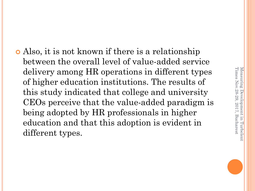Also, it is not known if there is a relationship between the overall level of value-added service delivery among HR operations in different types of higher education institutions. The results of this study indicated that college and university CEOs perceive that the value-added paradigm is being adopted by HR professionals in higher education and that this adoption is evident in different types.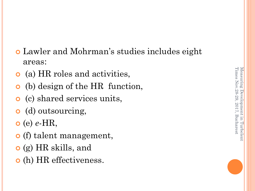- Lawler and Mohrman's studies includes eight areas:
- (a) HR roles and activities,
- (b) design of the HR function,
- (c) shared services units,
- (d) outsourcing,
- (e) *e-*HR,
- (f) talent management,
- (g) HR skills, and
- (h) HR effectiveness.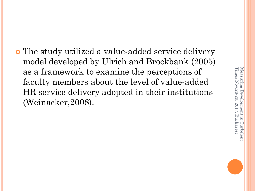The study utilized a value-added service delivery model developed by Ulrich and Brockbank (2005) as a framework to examine the perceptions of faculty members about the level of value-added HR service delivery adopted in their institutions (Weinacker,2008).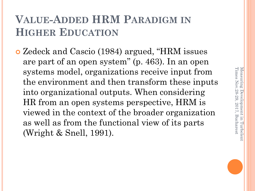# Times Nov.28-29, 2017, Bucharest Times Nov.28 Measuring Development in Turbelent Measuring Development in Turbelent -29, 2017, Bucharest

### **VALUE-ADDED HRM PARADIGM IN HIGHER EDUCATION**

 Zedeck and Cascio (1984) argued, "HRM issues are part of an open system" (p. 463). In an open systems model, organizations receive input from the environment and then transform these inputs into organizational outputs. When considering HR from an open systems perspective, HRM is viewed in the context of the broader organization as well as from the functional view of its parts (Wright & Snell, 1991).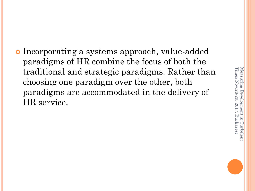Incorporating a systems approach, value-added paradigms of HR combine the focus of both the traditional and strategic paradigms. Rather than choosing one paradigm over the other, both paradigms are accommodated in the delivery of HR service.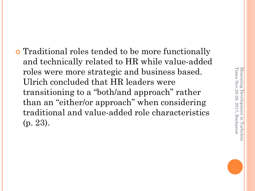Traditional roles tended to be more functionally and technically related to HR while value-added roles were more strategic and business based. Ulrich concluded that HR leaders were transitioning to a "both/and approach" rather than an "either/or approach" when considering traditional and value-added role characteristics (p. 23).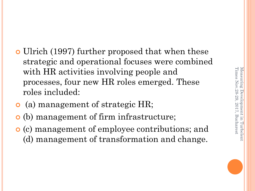- Ulrich (1997) further proposed that when these strategic and operational focuses were combined with HR activities involving people and processes, four new HR roles emerged. These roles included:
- (a) management of strategic HR;
- (b) management of firm infrastructure;
- (c) management of employee contributions; and (d) management of transformation and change.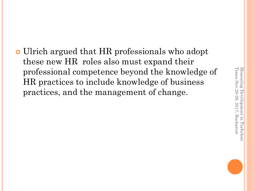Ulrich argued that HR professionals who adopt these new HR roles also must expand their professional competence beyond the knowledge of HR practices to include knowledge of business practices, and the management of change.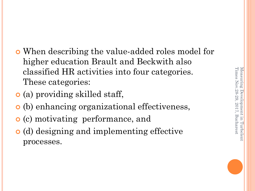- When describing the value-added roles model for higher education Brault and Beckwith also classified HR activities into four categories. These categories:
- (a) providing skilled staff,
- (b) enhancing organizational effectiveness,
- (c) motivating performance, and
- (d) designing and implementing effective processes.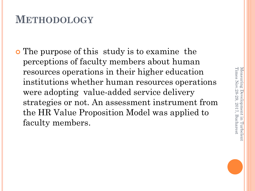#### **METHODOLOGY**

 The purpose of this study is to examine the perceptions of faculty members about human resources operations in their higher education institutions whether human resources operations were adopting value-added service delivery strategies or not. An assessment instrument from the HR Value Proposition Model was applied to faculty members.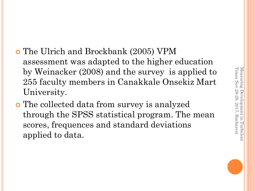- The Ulrich and Brockbank (2005) VPM assessment was adapted to the higher education by Weinacker (2008) and the survey is applied to 255 faculty members in Canakkale Onsekiz Mart University.
- The collected data from survey is analyzed through the SPSS statistical program. The mean scores, frequences and standard deviations applied to data.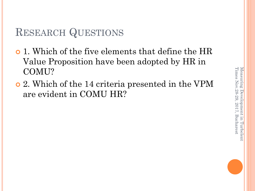### RESEARCH QUESTIONS

- 1. Which of the five elements that define the HR Value Proposition have been adopted by HR in COMU?
- 2. Which of the 14 criteria presented in the VPM are evident in COMU HR?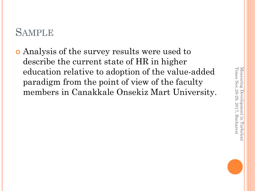### **SAMPLE**

 Analysis of the survey results were used to describe the current state of HR in higher education relative to adoption of the value-added paradigm from the point of view of the faculty members in Canakkale Onsekiz Mart University.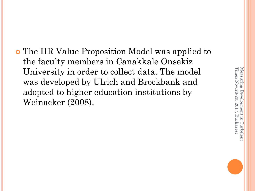The HR Value Proposition Model was applied to the faculty members in Canakkale Onsekiz University in order to collect data. The model was developed by Ulrich and Brockbank and adopted to higher education institutions by Weinacker (2008).

Times Nov.28-29, 2017, Bucharest Times Nov.28 Measuring Development in Turbelent Measuring Development in Turbelent -29, 2017, Bucharest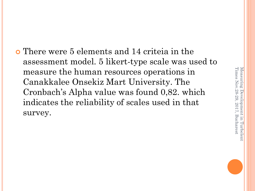There were 5 elements and 14 criteia in the assessment model. 5 likert-type scale was used to measure the human resources operations in Canakkalee Onsekiz Mart University. The Cronbach's Alpha value was found 0,82. which indicates the reliability of scales used in that

survey.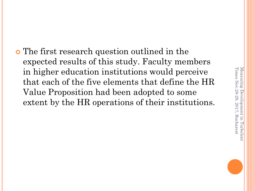The first research question outlined in the expected results of this study. Faculty members in higher education institutions would perceive that each of the five elements that define the HR Value Proposition had been adopted to some extent by the HR operations of their institutions.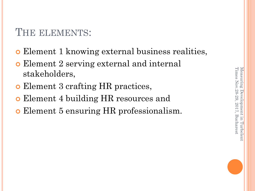### THE ELEMENTS:

- Element 1 knowing external business realities,
- Element 2 serving external and internal stakeholders,
- Element 3 crafting HR practices,
- Element 4 building HR resources and
- Element 5 ensuring HR professionalism.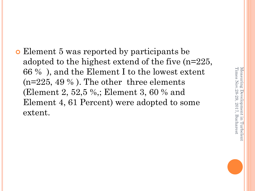Element 5 was reported by participants be adopted to the highest extend of the five (n=225, 66 % ), and the Element I to the lowest extent  $(n=225, 49\%)$ . The other three elements (Element 2, 52,5 %,; Element 3, 60 % and Element 4, 61 Percent) were adopted to some extent.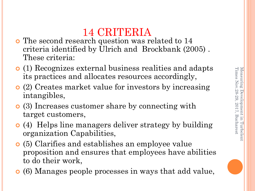### 14 CRITERIA

- The second research question was related to 14 criteria identified by Ulrich and Brockbank (2005) . These criteria:
- (1) Recognizes external business realities and adapts its practices and allocates resources accordingly,
- (2) Creates market value for investors by increasing intangibles,
- (3) Increases customer share by connecting with target customers,
- (4) Helps line managers deliver strategy by building organization Capabilities,
- (5) Clarifies and establishes an employee value proposition and ensures that employees have abilities to do their work,
- (6) Manages people processes in ways that add value,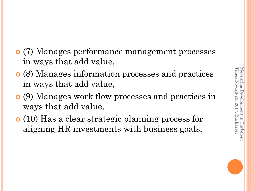- (7) Manages performance management processes in ways that add value,
- (8) Manages information processes and practices in ways that add value,
- (9) Manages work flow processes and practices in ways that add value,
- (10) Has a clear strategic planning process for aligning HR investments with business goals,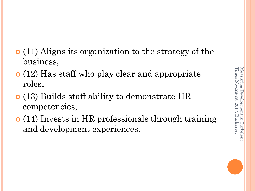- (11) Aligns its organization to the strategy of the business,
- (12) Has staff who play clear and appropriate roles,
- (13) Builds staff ability to demonstrate HR competencies,
- (14) Invests in HR professionals through training and development experiences.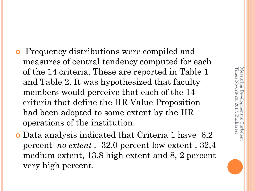- Frequency distributions were compiled and measures of central tendency computed for each of the 14 criteria. These are reported in Table 1 and Table 2. It was hypothesized that faculty members would perceive that each of the 14 criteria that define the HR Value Proposition had been adopted to some extent by the HR operations of the institution.
- Data analysis indicated that Criteria 1 have 6,2 percent *no extent ,* 32,0 percent low extent , 32,4 medium extent, 13,8 high extent and 8, 2 percent very high percent.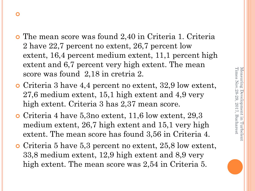#### $\Omega$

- The mean score was found 2,40 in Criteria 1. Criteria 2 have 22,7 percent no extent, 26,7 percent low extent, 16,4 percent medium extent, 11,1 percent high extent and 6,7 percent very high extent. The mean score was found 2,18 in cretria 2.
- Criteria 3 have 4,4 percent no extent, 32,9 low extent, 27,6 medium extent, 15,1 high extent and 4,9 very high extent. Criteria 3 has 2,37 mean score.
- Criteria 4 have 5,3no extent, 11,6 low extent, 29,3 medium extent, 26,7 high extent and 15,1 very high extent. The mean score has found 3,56 in Criteria 4.
- Criteria 5 have 5,3 percent no extent, 25,8 low extent, 33,8 medium extent, 12,9 high extent and 8,9 very high extent. The mean score was 2,54 in Criteria 5.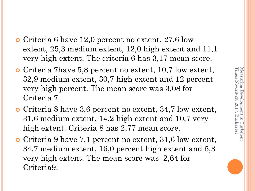- Criteria 6 have 12,0 percent no extent, 27,6 low extent, 25,3 medium extent, 12,0 high extent and 11,1 very high extent. The criteria 6 has 3,17 mean score.
- Criteria 7have 5,8 percent no extent, 10,7 low extent, 32,9 medium extent, 30,7 high extent and 12 percent very high percent. The mean score was 3,08 for Criteria 7.
- Criteria 8 have 3,6 percent no extent, 34,7 low extent, 31,6 medium extent, 14,2 high extent and 10,7 very high extent. Criteria 8 has 2,77 mean score.
- Criteria 9 have 7,1 percent no extent, 31,6 low extent, 34,7 medium extent, 16,0 percent high extent and 5,3 very high extent. The mean score was 2,64 for Criteria9.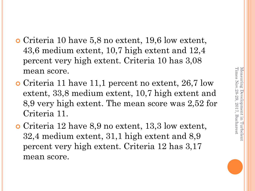- Criteria 10 have 5,8 no extent, 19,6 low extent, 43,6 medium extent, 10,7 high extent and 12,4 percent very high extent. Criteria 10 has 3,08 mean score.
- Criteria 11 have 11,1 percent no extent, 26,7 low extent, 33,8 medium extent, 10,7 high extent and 8,9 very high extent. The mean score was 2,52 for Criteria 11.
- Criteria 12 have 8,9 no extent, 13,3 low extent, 32,4 medium extent, 31,1 high extent and 8,9 percent very high extent. Criteria 12 has 3,17 mean score.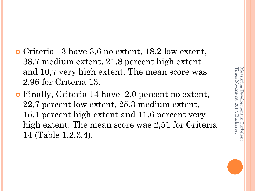- Criteria 13 have 3,6 no extent, 18,2 low extent, 38,7 medium extent, 21,8 percent high extent and 10,7 very high extent. The mean score was 2,96 for Criteria 13.
- Finally, Criteria 14 have 2,0 percent no extent, 22,7 percent low extent, 25,3 medium extent, 15,1 percent high extent and 11,6 percent very high extent. The mean score was 2,51 for Criteria 14 (Table 1,2,3,4).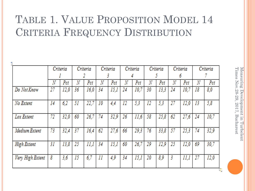### TABLE 1. VALUE PROPOSITION MODEL 14 CRITERIA FREQUENCY DISTRIBUTION

 $\bullet$ 

|                    |    | Criteria |    | Criteria |    | Criteria        |    | Criteria |    | Criteria |    | Criteria |    | Criteria |
|--------------------|----|----------|----|----------|----|-----------------|----|----------|----|----------|----|----------|----|----------|
|                    |    |          |    |          |    |                 | 4  |          |    |          | 6  |          |    |          |
|                    | N  | Pct      | Ν  | Pct      | N  | Pct             | Ν  | Pct      | Ν  | Pct      | N  | Pct      | Ν  | Pct      |
| Do Not Know        | 27 | 12,0     | 36 | 16,0     | 34 | 15 <sub>i</sub> | 24 | 10,7     | 30 | 13,3     | 24 | 10,7     | 18 | 8,0      |
| No Extent          | 14 | 6,2      | 51 | 22,7     | 10 | 4,4             | 12 | 5,3      | 12 | 5,3      | 27 | 12,0     | 13 | 5,8      |
| Lox Extent         | 72 | 32,0     | 60 | 26,7     | 74 | 32,9            | 26 | 11,6     | 58 | 25,8     | 62 | 27,6     | 24 | 10,7     |
| Medium Extent      | 73 | 32,4     | 37 | 16,4     | 62 | 27,6            | 66 | 29,3     | 76 | 33,8     | 57 | 25,3     | 74 | 32,9     |
| <b>High Extent</b> | 31 | 13,8     | 25 | 11,1     | 34 | 15,1            | 60 | 26,7     | 29 | 12,9     | 25 | 12,0     | 69 | 30,7     |
| Very High Extent   | 8  | 3,6      | 15 | 6,7      | 11 | 4,9             | 34 | 15,1     | 20 | 8,9      | 3  | II, I    | 27 | 12,0     |

Times Nov.28-29, 2017, Bucharest Times Nov.28 Measuring Development in Turbelent Measuring Development in Turbelent -29, 2017, Bucharest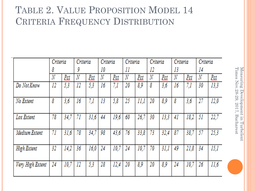### TABLE 2. VALUE PROPOSITION MODEL 14 CRITERIA FREQUENCY DISTRIBUTION

|                    | Criteria              |            | Criteria       |      | Criteria       |      | Criteria         |             | Criteria            |      | Criteria |            | Criteria         |            |
|--------------------|-----------------------|------------|----------------|------|----------------|------|------------------|-------------|---------------------|------|----------|------------|------------------|------------|
|                    | 8                     |            | 9              |      | 10             |      | П                |             | 12                  |      | 13       |            | 14               |            |
|                    | $\overline{N}$        | <b>Ltd</b> | $\overline{N}$ | Ect  | $\overline{N}$ | llat | $\boldsymbol{N}$ | <b>llul</b> | N                   | llat | N        | <b>Pat</b> | $\boldsymbol{N}$ | <b>Ret</b> |
| Do Not Know        | -12                   | 5,3        | 12             | 5,3  | 16             | 1,1  | 20               | 8,9         | 8                   | 3,6  | 16       | Ί,Ι        | 30               | 13,3       |
| No Extent          | $\boldsymbol{\delta}$ | 3,6        | 16             | 7,1  | 13             | 5,8  | 25               | 11,1        | 20                  | 89   | 8        | 3,6        | 27               | 12,0       |
| Lox Extent         | 78                    | 34,7       | $\eta$         | 31.6 | 44             | 19,6 | 60               | 26,7        | 30                  | 13,3 | 41       | 18.2       | 51               | 22,7       |
| Medium Extent      | $\eta$                | 31,6       | 78             | 34.7 | 98             | 43.6 | 76               | 33,8        | $\overline{\jmath}$ | 32,4 | 87       | 38,7       | 57               | 25,3       |
| <b>High Extent</b> | 32                    | 14,2       | 36             | 16,0 | 24             | 10,7 | 24               | 10,7        | 70                  | 31.1 | 49       | 21,8       | 34               | 15,1       |
| Very High Extent   | 24                    | 10,7       | 12             | 5,3  | 28             | 12,4 | 20               | 8,9         | 20                  | 8,9  | 24       | 10,7       | 26               | II,6       |

Times Nov.28-29, 2017, Bucharest Measuring Development in Turbelent Times Nov.28 Measuring Development in Turbelent -29, 2017, Bucharest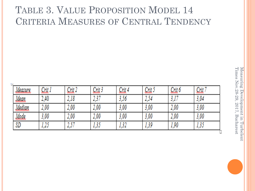### TABLE 3. VALUE PROPOSITION MODEL 14 CRITERIA MEASURES OF CENTRAL TENDENCY

| Megsure      | 1971.00<br>w<br>بالمنافذ<br>. | <b>1970</b><br>بالمنتد<br>. | - 3<br>ÜШ<br>.     | <b>THE 19</b><br><b>TAXABLE</b><br>sdik"<br>. | <b>10 Hz</b><br>ועל<br>33555<br>. | <b>18.18</b><br>w<br>33555<br>. | <b>1979</b><br>na s<br>3255<br>. |
|--------------|-------------------------------|-----------------------------|--------------------|-----------------------------------------------|-----------------------------------|---------------------------------|----------------------------------|
| . .<br>Mean. | 2.40                          | 18                          | -44<br>and a state | <b>ALC: UN</b><br>and th<br>a an              | <b>SPI</b><br>AN T                | <b>11.57</b><br><b>COLOR</b>    | 3,04                             |
| Median       | ,00<br>. .<br>æ               | ,00                         | 2,00               | ,00<br><b>THE</b>                             | 3.00                              | ,00<br>ш.<br>æ                  | 3,00                             |
| <u>Made</u>  | .00<br>a sa                   | ,00                         | 2,00               | ,00<br>m                                      | 3.00                              | ,00<br>. .<br>ш                 | 3,00                             |
| SD           | . A 16                        | <b>A 1999</b><br>an an A    | n<br>الألفوظ       | na sa<br>ه س                                  | -20<br>المكسورات                  | .90                             | القائم والد                      |

Times Nov.28-29, 2017, Bucharest Measuring Development in Turbelent Times Nov.28 Measuring Development in Turbelent -29, 2017, Bucharest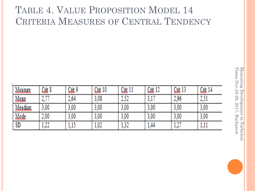### TABLE 4. VALUE PROPOSITION MODEL 14 CRITERIA MEASURES OF CENTRAL TENDENCY

| 1 H<br>Mgasur | <u>luu</u>          | Caut !<br>ч       | 40.<br>LUU. | m<br>xш<br>.                    | . .<br>m<br>KAAN. | - 55<br>LUU.<br>- 30 | <u>Coul</u><br>14 |
|---------------|---------------------|-------------------|-------------|---------------------------------|-------------------|----------------------|-------------------|
| Mean          |                     | 4.94              | 3.08        | <b>STAR</b><br>and a series and | . .               | 2,96                 | r<br>alian di str |
| Mcadan        | $3.00\,$            | 3,00              | 3,00        | $3.00\,$                        | 3.00              | A.<br>м<br>o.wu      | 5,00              |
| Mode          | $2.00\,$            | W<br>p.WV<br>œ    | 3,00        | 3,00                            | 3,00              | л.<br>D.WV           | 3,00              |
| SD            | 88.BB<br>الكالكب ال | all and the first | m.<br>a. Ma | 44.44<br>an an Calif            | 1.44              | . .                  | .                 |

Times Nov.28-29, 2017, Bucharest Times Nov.28 Measuring Development in Turbelent Measuring Development in Turbelent -29, 2017, Bucharest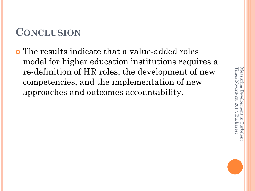## Times Nov.28-29, 2017, Bucharest Times Nov.28 Measuring Development in Turbelent Measuring Development in Turbelent -29, 2017, Bucharest

### **CONCLUSION**

 The results indicate that a value-added roles model for higher education institutions requires a re-definition of HR roles, the development of new competencies, and the implementation of new approaches and outcomes accountability.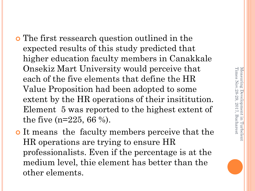- **o** The first ressearch question outlined in the expected results of this study predicted that higher education faculty members in Canakkale Onsekiz Mart University would perceive that each of the five elements that define the HR Value Proposition had been adopted to some extent by the HR operations of their insititution. Element 5 was reported to the highest extent of the five (n=225, 66 %).
- It means the faculty members perceive that the HR operations are trying to ensure HR professionalists. Even if the percentage is at the medium level, thie element has better than the other elements.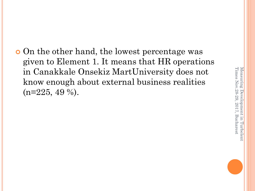o On the other hand, the lowest percentage was given to Element 1. It means that HR operations in Canakkale Onsekiz MartUniversity does not know enough about external business realities  $(n=225, 49\%)$ .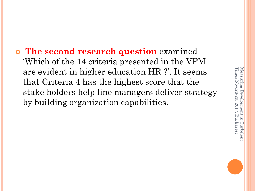**The second research question** examined 'Which of the 14 criteria presented in the VPM are evident in higher education HR ?'. It seems that Criteria 4 has the highest score that the stake holders help line managers deliver strategy by building organization capabilities.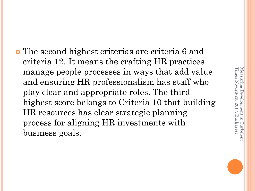The second highest criterias are criteria 6 and criteria 12. It means the crafting HR practices manage people processes in ways that add value and ensuring HR professionalism has staff who play clear and appropriate roles. The third highest score belongs to Criteria 10 that building HR resources has clear strategic planning process for aligning HR investments with business goals.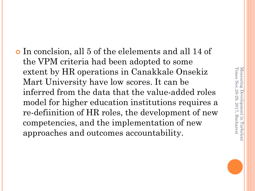In conclsion, all 5 of the elelements and all 14 of the VPM criteria had been adopted to some extent by HR operations in Canakkale Onsekiz Mart University have low scores. It can be inferred from the data that the value-added roles model for higher education institutions requires a re-defiinition of HR roles, the development of new competencies, and the implementation of new approaches and outcomes accountability.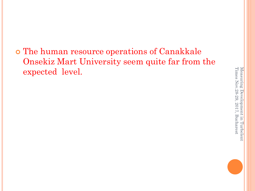The human resource operations of Canakkale Onsekiz Mart University seem quite far from the expected level.